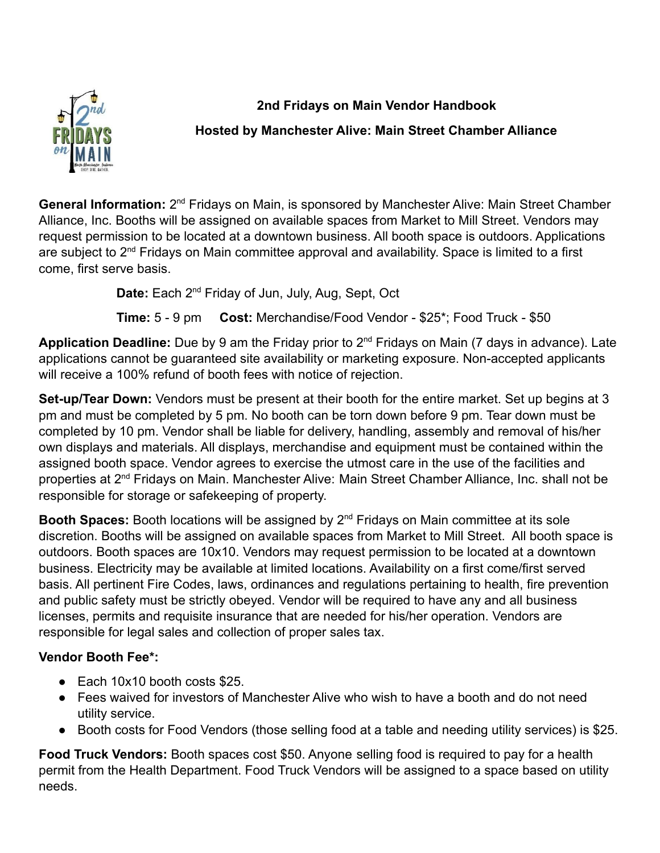

**2nd Fridays on Main Vendor Handbook**

## **Hosted by Manchester Alive: Main Street Chamber Alliance**

General Information: 2<sup>nd</sup> Fridays on Main, is sponsored by Manchester Alive: Main Street Chamber Alliance, Inc. Booths will be assigned on available spaces from Market to Mill Street. Vendors may request permission to be located at a downtown business. All booth space is outdoors. Applications are subject to 2<sup>nd</sup> Fridays on Main committee approval and availability. Space is limited to a first come, first serve basis.

**Date:** Each 2nd Friday of Jun, July, Aug, Sept, Oct

**Time:** 5 - 9 pm **Cost:** Merchandise/Food Vendor - \$25\*; Food Truck - \$50

**Application Deadline:** Due by 9 am the Friday prior to 2nd Fridays on Main (7 days in advance). Late applications cannot be guaranteed site availability or marketing exposure. Non-accepted applicants will receive a 100% refund of booth fees with notice of rejection.

**Set-up/Tear Down:** Vendors must be present at their booth for the entire market. Set up begins at 3 pm and must be completed by 5 pm. No booth can be torn down before 9 pm. Tear down must be completed by 10 pm. Vendor shall be liable for delivery, handling, assembly and removal of his/her own displays and materials. All displays, merchandise and equipment must be contained within the assigned booth space. Vendor agrees to exercise the utmost care in the use of the facilities and properties at 2<sup>nd</sup> Fridays on Main. Manchester Alive: Main Street Chamber Alliance, Inc. shall not be responsible for storage or safekeeping of property.

Booth Spaces: Booth locations will be assigned by 2<sup>nd</sup> Fridays on Main committee at its sole discretion. Booths will be assigned on available spaces from Market to Mill Street. All booth space is outdoors. Booth spaces are 10x10. Vendors may request permission to be located at a downtown business. Electricity may be available at limited locations. Availability on a first come/first served basis. All pertinent Fire Codes, laws, ordinances and regulations pertaining to health, fire prevention and public safety must be strictly obeyed. Vendor will be required to have any and all business licenses, permits and requisite insurance that are needed for his/her operation. Vendors are responsible for legal sales and collection of proper sales tax.

## **Vendor Booth Fee\*:**

- Each 10x10 booth costs \$25.
- Fees waived for investors of Manchester Alive who wish to have a booth and do not need utility service.
- Booth costs for Food Vendors (those selling food at a table and needing utility services) is \$25.

**Food Truck Vendors:** Booth spaces cost \$50. Anyone selling food is required to pay for a health permit from the Health Department. Food Truck Vendors will be assigned to a space based on utility needs.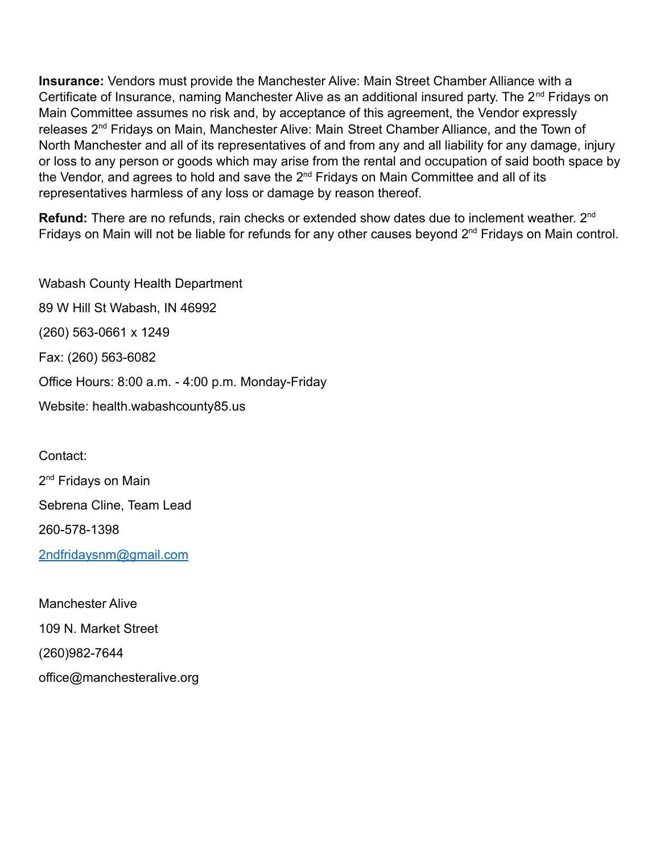**Insurance:** Vendors must provide the Manchester Alive: Main Street Chamber Alliance with a Certificate of Insurance, naming Manchester Alive as an additional insured party. The  $2^{nd}$  Fridays on Main Committee assumes no risk and, by acceptance of this agreement, the Vendor expressly releases 2<sup>nd</sup> Fridays on Main, Manchester Alive: Main Street Chamber Alliance, and the Town of North Manchester and all of its representatives of and from any and all liability for any damage, injury or loss to any person or goods which may arise from the rental and occupation of said booth space by the Vendor, and agrees to hold and save the 2<sup>nd</sup> Fridays on Main Committee and all of its representatives harmless of any loss or damage by reason thereof.

**Refund:** There are no refunds, rain checks or extended show dates due to inclement weather. 2<sup>nd</sup> Fridays on Main will not be liable for refunds for any other causes beyond 2<sup>nd</sup> Fridays on Main control.

Wabash County Health Department 89 W Hill St Wabash, IN 46992 (260) 563-0661 x 1249 Fax: (260) 563-6082 Office Hours: 8:00 a.m. - 4:00 p.m. Monday-Friday Website: health.wabashcounty85.us

Contact: 2<sup>nd</sup> Fridays on Main Sebrena Cline, Team Lead 260-578-1398 [2ndfridaysnm@gmail.com](mailto:2ndfridaysnm@gmail.com)

Manchester Alive 109 N. Market Street (260)982-7644 office@manchesteralive.org